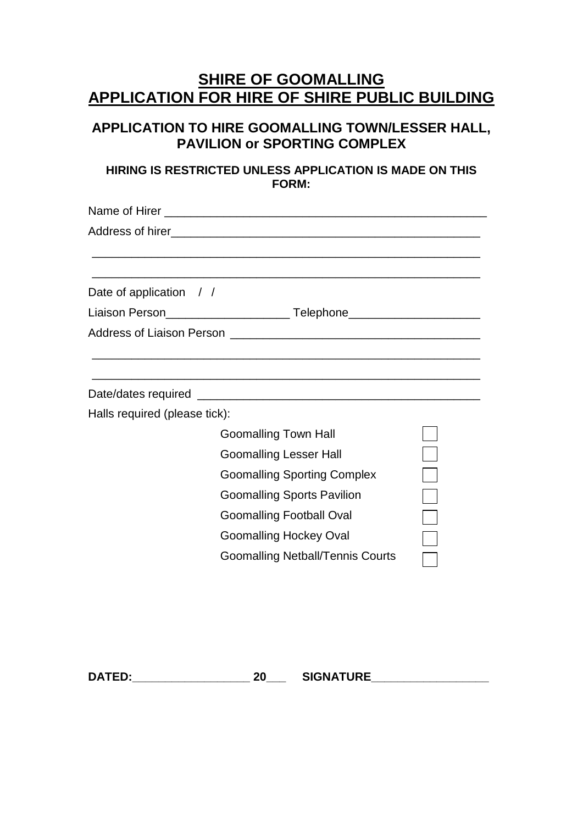# **SHIRE OF GOOMALLING APPLICATION FOR HIRE OF SHIRE PUBLIC BUILDING**

## **APPLICATION TO HIRE GOOMALLING TOWN/LESSER HALL, PAVILION or SPORTING COMPLEX**

### **HIRING IS RESTRICTED UNLESS APPLICATION IS MADE ON THIS FORM:**

| Date of application $\frac{1}{1}$ |                                         |  |
|-----------------------------------|-----------------------------------------|--|
|                                   |                                         |  |
|                                   |                                         |  |
|                                   |                                         |  |
|                                   |                                         |  |
| Halls required (please tick):     |                                         |  |
|                                   | <b>Goomalling Town Hall</b>             |  |
|                                   | <b>Goomalling Lesser Hall</b>           |  |
|                                   | <b>Goomalling Sporting Complex</b>      |  |
|                                   | <b>Goomalling Sports Pavilion</b>       |  |
|                                   | <b>Goomalling Football Oval</b>         |  |
|                                   | <b>Goomalling Hockey Oval</b>           |  |
|                                   | <b>Goomalling Netball/Tennis Courts</b> |  |

**DATED:\_\_\_\_\_\_\_\_\_\_\_\_\_\_\_\_\_\_ 20\_\_\_ SIGNATURE\_\_\_\_\_\_\_\_\_\_\_\_\_\_\_\_\_\_**